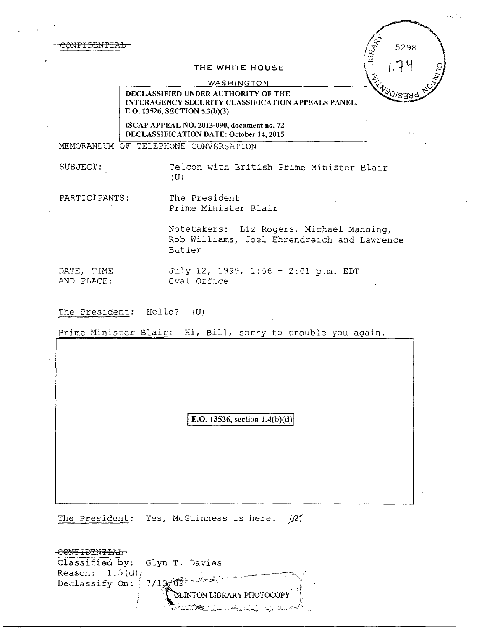<del>ONFIDENTIA</del>

## **THE WHITE HOUSE**

## **WASHINGTON**

DECLASSIFIED UNDER AUTHORITY OF THE INTERAGENCY SECURITY CLASSIFICATION APPEALS PANEL, E.O. 13526, SECTION 5.3(b)(3)

ISCAP APPEAL NO. 2013-090, document no. 72 DECLASSIFICATION DATE: October 14, 2015

MEMORANDUM OF TELEPHONE CONVERSATION

SUBJECT: Telcon with British Prime Minister Blair (U)

PARTICIPANTS: The President Prime Minister Blair

> Notetakers: Liz Rogers, Michael Manning, Rob Williams, Joel Ehrendreich and Lawrence Butler

DATE, TIME July 12, 1999, 1:56 - 2:01 p.m. EDT<br>AND PLACE: 0val Office Oval Office

The President: Hello? (U)

Prime Minister Blair: Hi, Bill, sorry to trouble you again.

E.O. 13526, section  $1.4(b)(d)$ 

The President: Yes, McGuinness is here.  $\varnothing$ 

| Classified by: Glyn T. Davies  |                                                 |
|--------------------------------|-------------------------------------------------|
| Reason: $1.5(d)$ ,             |                                                 |
| Declassify On: $7/12\sqrt{69}$ |                                                 |
|                                | CLINTON LIBRARY PHOTOCOPY                       |
|                                | <u> Del Carro Amaria a Carriera a Carriera </u> |

5298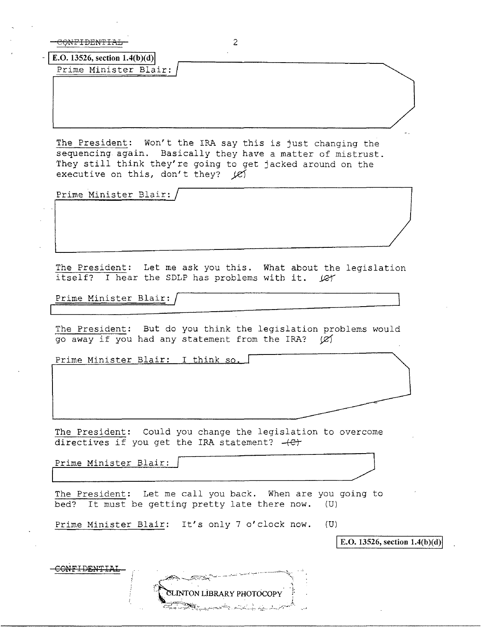| 2.<br><del>ONE DENTE</del>                                                                                                                                                                                                       |
|----------------------------------------------------------------------------------------------------------------------------------------------------------------------------------------------------------------------------------|
| E.O. 13526, section $1.4(b)(d)$                                                                                                                                                                                                  |
| Prime Minister Blair:                                                                                                                                                                                                            |
|                                                                                                                                                                                                                                  |
|                                                                                                                                                                                                                                  |
|                                                                                                                                                                                                                                  |
| The President: Won't the IRA say this is just changing the<br>sequencing again. Basically they have a matter of mistrust.<br>They still think they're going to get jacked around on the<br>executive on this, don't they? $\chi$ |
| Prime Minister Blair:                                                                                                                                                                                                            |
|                                                                                                                                                                                                                                  |
|                                                                                                                                                                                                                                  |
|                                                                                                                                                                                                                                  |
|                                                                                                                                                                                                                                  |
| The President: Let me ask you this. What about the legislation<br>itself? I hear the SDLP has problems with it. (CY                                                                                                              |
|                                                                                                                                                                                                                                  |
| Prime Minister Blair:                                                                                                                                                                                                            |
| The President: But do you think the legislation problems would<br>go away if you had any statement from the IRA? $\varnothing$                                                                                                   |
| Prime Minister Blair: I think so.                                                                                                                                                                                                |
|                                                                                                                                                                                                                                  |
|                                                                                                                                                                                                                                  |
|                                                                                                                                                                                                                                  |
|                                                                                                                                                                                                                                  |
| The President: Could you change the legislation to overcome<br>directives if you get the IRA statement? (et                                                                                                                      |
| Prime Minister Blair:                                                                                                                                                                                                            |
|                                                                                                                                                                                                                                  |
| The President: Let me call you back. When are you going to<br>It must be getting pretty late there now.<br>bed?<br>(U)                                                                                                           |
| Prime Minister Blair: It's only 7 o'clock now.<br>(U)                                                                                                                                                                            |
| E.O. 13526, section 1.4(b)(d)                                                                                                                                                                                                    |
|                                                                                                                                                                                                                                  |
|                                                                                                                                                                                                                                  |
| <b>ELINTON LIBRARY PHOTOCOPY</b>                                                                                                                                                                                                 |
|                                                                                                                                                                                                                                  |
|                                                                                                                                                                                                                                  |

 $\bar{z}$ 

 $\bar{\beta}$ 

 $\hat{\mathcal{A}}$ 

 $\bar{\beta}$ 

 $\ddot{\phantom{a}}$ 

 $\bar{\omega}$ 

 $\bar{\mathcal{A}}$